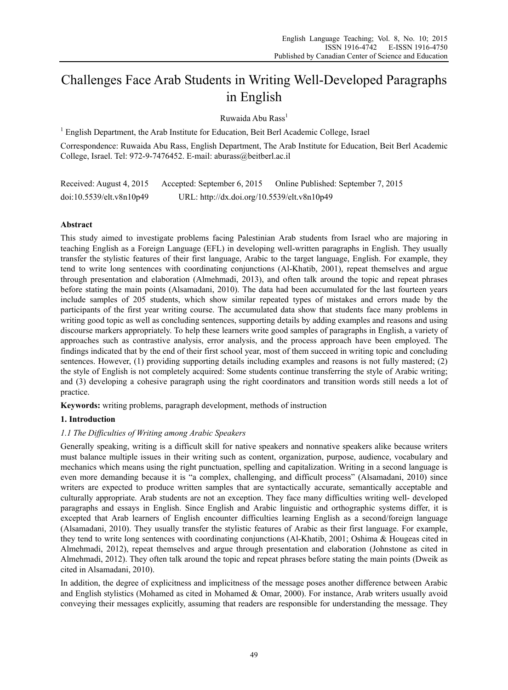# Challenges Face Arab Students in Writing Well-Developed Paragraphs in English

Ruwaida Abu Rass<sup>1</sup>

<sup>1</sup> English Department, the Arab Institute for Education, Beit Berl Academic College, Israel

Correspondence: Ruwaida Abu Rass, English Department, The Arab Institute for Education, Beit Berl Academic College, Israel. Tel: 972-9-7476452. E-mail: aburass@beitberl.ac.il

| Received: August 4, 2015 | Accepted: September 6, 2015                 | Online Published: September 7, 2015 |
|--------------------------|---------------------------------------------|-------------------------------------|
| doi:10.5539/elt.v8n10p49 | URL: http://dx.doi.org/10.5539/elt.v8n10p49 |                                     |

# **Abstract**

This study aimed to investigate problems facing Palestinian Arab students from Israel who are majoring in teaching English as a Foreign Language (EFL) in developing well-written paragraphs in English. They usually transfer the stylistic features of their first language, Arabic to the target language, English. For example, they tend to write long sentences with coordinating conjunctions (Al-Khatib, 2001), repeat themselves and argue through presentation and elaboration (Almehmadi, 2013), and often talk around the topic and repeat phrases before stating the main points (Alsamadani, 2010). The data had been accumulated for the last fourteen years include samples of 205 students, which show similar repeated types of mistakes and errors made by the participants of the first year writing course. The accumulated data show that students face many problems in writing good topic as well as concluding sentences, supporting details by adding examples and reasons and using discourse markers appropriately. To help these learners write good samples of paragraphs in English, a variety of approaches such as contrastive analysis, error analysis, and the process approach have been employed. The findings indicated that by the end of their first school year, most of them succeed in writing topic and concluding sentences. However, (1) providing supporting details including examples and reasons is not fully mastered; (2) the style of English is not completely acquired: Some students continue transferring the style of Arabic writing; and (3) developing a cohesive paragraph using the right coordinators and transition words still needs a lot of practice.

**Keywords:** writing problems, paragraph development, methods of instruction

# **1. Introduction**

# *1.1 The Difficulties of Writing among Arabic Speakers*

Generally speaking, writing is a difficult skill for native speakers and nonnative speakers alike because writers must balance multiple issues in their writing such as content, organization, purpose, audience, vocabulary and mechanics which means using the right punctuation, spelling and capitalization. Writing in a second language is even more demanding because it is "a complex, challenging, and difficult process" (Alsamadani, 2010) since writers are expected to produce written samples that are syntactically accurate, semantically acceptable and culturally appropriate. Arab students are not an exception. They face many difficulties writing well- developed paragraphs and essays in English. Since English and Arabic linguistic and orthographic systems differ, it is excepted that Arab learners of English encounter difficulties learning English as a second/foreign language (Alsamadani, 2010). They usually transfer the stylistic features of Arabic as their first language. For example, they tend to write long sentences with coordinating conjunctions (Al-Khatib, 2001; Oshima & Hougeas cited in Almehmadi, 2012), repeat themselves and argue through presentation and elaboration (Johnstone as cited in Almehmadi, 2012). They often talk around the topic and repeat phrases before stating the main points (Dweik as cited in Alsamadani, 2010).

In addition, the degree of explicitness and implicitness of the message poses another difference between Arabic and English stylistics (Mohamed as cited in Mohamed & Omar, 2000). For instance, Arab writers usually avoid conveying their messages explicitly, assuming that readers are responsible for understanding the message. They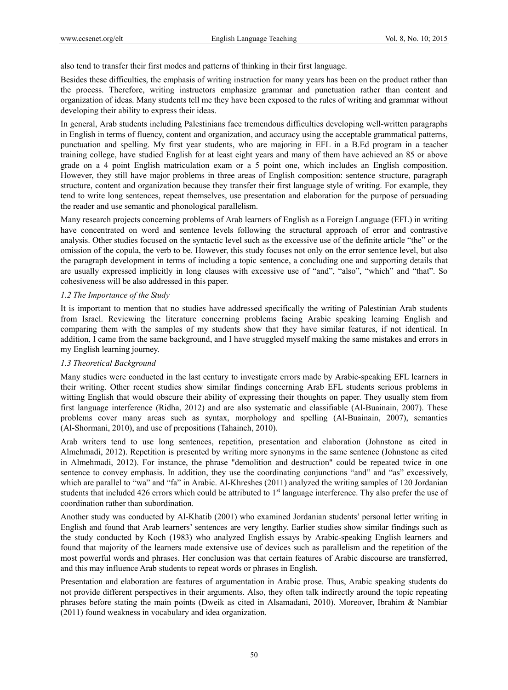also tend to transfer their first modes and patterns of thinking in their first language.

Besides these difficulties, the emphasis of writing instruction for many years has been on the product rather than the process. Therefore, writing instructors emphasize grammar and punctuation rather than content and organization of ideas. Many students tell me they have been exposed to the rules of writing and grammar without developing their ability to express their ideas.

In general, Arab students including Palestinians face tremendous difficulties developing well-written paragraphs in English in terms of fluency, content and organization, and accuracy using the acceptable grammatical patterns, punctuation and spelling. My first year students, who are majoring in EFL in a B.Ed program in a teacher training college, have studied English for at least eight years and many of them have achieved an 85 or above grade on a 4 point English matriculation exam or a 5 point one, which includes an English composition. However, they still have major problems in three areas of English composition: sentence structure, paragraph structure, content and organization because they transfer their first language style of writing. For example, they tend to write long sentences, repeat themselves, use presentation and elaboration for the purpose of persuading the reader and use semantic and phonological parallelism.

Many research projects concerning problems of Arab learners of English as a Foreign Language (EFL) in writing have concentrated on word and sentence levels following the structural approach of error and contrastive analysis. Other studies focused on the syntactic level such as the excessive use of the definite article "the" or the omission of the copula, the verb to be*.* However, this study focuses not only on the error sentence level, but also the paragraph development in terms of including a topic sentence, a concluding one and supporting details that are usually expressed implicitly in long clauses with excessive use of "and", "also", "which" and "that". So cohesiveness will be also addressed in this paper.

#### *1.2 The Importance of the Study*

It is important to mention that no studies have addressed specifically the writing of Palestinian Arab students from Israel. Reviewing the literature concerning problems facing Arabic speaking learning English and comparing them with the samples of my students show that they have similar features, if not identical. In addition, I came from the same background, and I have struggled myself making the same mistakes and errors in my English learning journey.

## *1.3 Theoretical Background*

Many studies were conducted in the last century to investigate errors made by Arabic-speaking EFL learners in their writing. Other recent studies show similar findings concerning Arab EFL students serious problems in witting English that would obscure their ability of expressing their thoughts on paper. They usually stem from first language interference (Ridha, 2012) and are also systematic and classifiable (Al-Buainain, 2007). These problems cover many areas such as syntax, morphology and spelling (Al-Buainain, 2007), semantics (Al-Shormani, 2010), and use of prepositions (Tahaineh, 2010).

Arab writers tend to use long sentences, repetition, presentation and elaboration (Johnstone as cited in Almehmadi, 2012). Repetition is presented by writing more synonyms in the same sentence (Johnstone as cited in Almehmadi, 2012). For instance, the phrase "demolition and destruction" could be repeated twice in one sentence to convey emphasis. In addition, they use the coordinating conjunctions "and" and "as" excessively, which are parallel to "wa" and "fa" in Arabic. Al-Khreshes (2011) analyzed the writing samples of 120 Jordanian students that included 426 errors which could be attributed to  $1<sup>st</sup>$  language interference. Thy also prefer the use of coordination rather than subordination.

Another study was conducted by Al-Khatib (2001) who examined Jordanian students' personal letter writing in English and found that Arab learners' sentences are very lengthy. Earlier studies show similar findings such as the study conducted by Koch (1983) who analyzed English essays by Arabic-speaking English learners and found that majority of the learners made extensive use of devices such as parallelism and the repetition of the most powerful words and phrases. Her conclusion was that certain features of Arabic discourse are transferred, and this may influence Arab students to repeat words or phrases in English.

Presentation and elaboration are features of argumentation in Arabic prose. Thus, Arabic speaking students do not provide different perspectives in their arguments. Also, they often talk indirectly around the topic repeating phrases before stating the main points (Dweik as cited in Alsamadani, 2010). Moreover, Ibrahim & Nambiar (2011) found weakness in vocabulary and idea organization.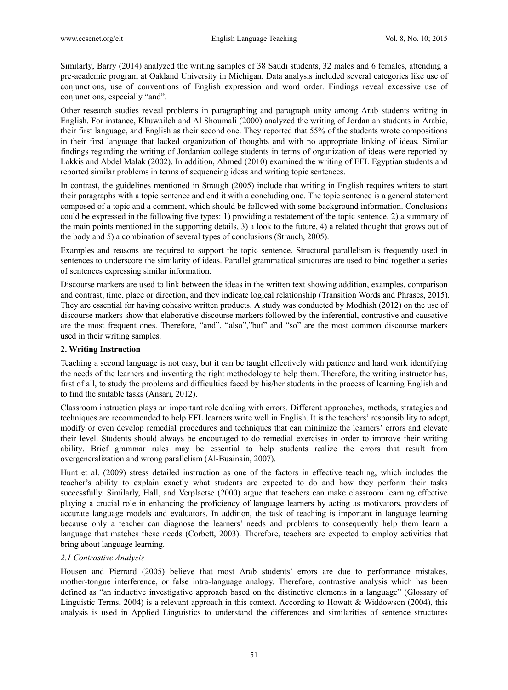Similarly, Barry (2014) analyzed the writing samples of 38 Saudi students, 32 males and 6 females, attending a pre-academic program at Oakland University in Michigan. Data analysis included several categories like use of conjunctions, use of conventions of English expression and word order. Findings reveal excessive use of conjunctions, especially "and".

Other research studies reveal problems in paragraphing and paragraph unity among Arab students writing in English. For instance, Khuwaileh and Al Shoumali (2000) analyzed the writing of Jordanian students in Arabic, their first language, and English as their second one. They reported that 55% of the students wrote compositions in their first language that lacked organization of thoughts and with no appropriate linking of ideas. Similar findings regarding the writing of Jordanian college students in terms of organization of ideas were reported by Lakkis and Abdel Malak (2002). In addition, Ahmed (2010) examined the writing of EFL Egyptian students and reported similar problems in terms of sequencing ideas and writing topic sentences.

In contrast, the guidelines mentioned in Straugh (2005) include that writing in English requires writers to start their paragraphs with a topic sentence and end it with a concluding one. The topic sentence is a general statement composed of a topic and a comment, which should be followed with some background information. Conclusions could be expressed in the following five types: 1) providing a restatement of the topic sentence, 2) a summary of the main points mentioned in the supporting details, 3) a look to the future, 4) a related thought that grows out of the body and 5) a combination of several types of conclusions (Strauch, 2005).

Examples and reasons are required to support the topic sentence. Structural parallelism is frequently used in sentences to underscore the similarity of ideas. Parallel grammatical structures are used to bind together a series of sentences expressing similar information.

Discourse markers are used to link between the ideas in the written text showing addition, examples, comparison and contrast, time, place or direction, and they indicate logical relationship (Transition Words and Phrases, 2015). They are essential for having cohesive written products. A study was conducted by Modhish (2012) on the use of discourse markers show that elaborative discourse markers followed by the inferential, contrastive and causative are the most frequent ones. Therefore, "and", "also","but" and "so" are the most common discourse markers used in their writing samples.

# **2. Writing Instruction**

Teaching a second language is not easy, but it can be taught effectively with patience and hard work identifying the needs of the learners and inventing the right methodology to help them. Therefore, the writing instructor has, first of all, to study the problems and difficulties faced by his/her students in the process of learning English and to find the suitable tasks (Ansari, 2012).

Classroom instruction plays an important role dealing with errors. Different approaches, methods, strategies and techniques are recommended to help EFL learners write well in English. It is the teachers' responsibility to adopt, modify or even develop remedial procedures and techniques that can minimize the learners' errors and elevate their level. Students should always be encouraged to do remedial exercises in order to improve their writing ability. Brief grammar rules may be essential to help students realize the errors that result from overgeneralization and wrong parallelism (Al-Buainain, 2007).

Hunt et al. (2009) stress detailed instruction as one of the factors in effective teaching, which includes the teacher's ability to explain exactly what students are expected to do and how they perform their tasks successfully. Similarly, Hall, and Verplaetse (2000) argue that teachers can make classroom learning effective playing a crucial role in enhancing the proficiency of language learners by acting as motivators, providers of accurate language models and evaluators. In addition, the task of teaching is important in language learning because only a teacher can diagnose the learners' needs and problems to consequently help them learn a language that matches these needs (Corbett, 2003). Therefore, teachers are expected to employ activities that bring about language learning.

## *2.1 Contrastive Analysis*

Housen and Pierrard (2005) believe that most Arab students' errors are due to performance mistakes, mother-tongue interference, or false intra-language analogy. Therefore, contrastive analysis which has been defined as "an inductive investigative approach based on the distinctive elements in a language" (Glossary of Linguistic Terms, 2004) is a relevant approach in this context. According to Howatt & Widdowson (2004), this analysis is used in Applied Linguistics to understand the differences and similarities of sentence structures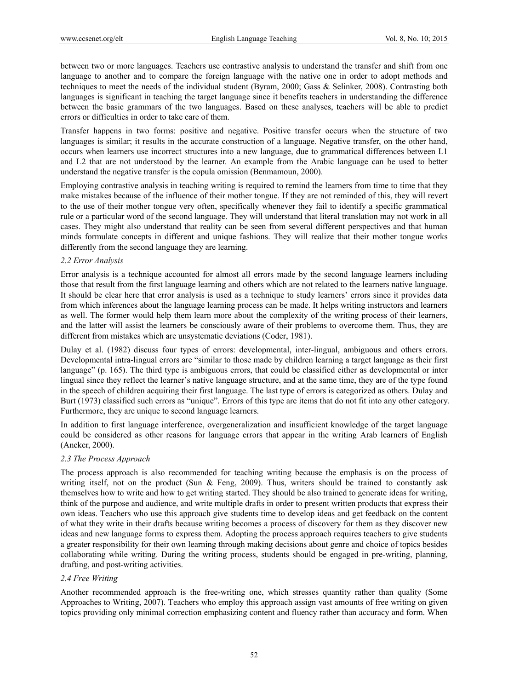between two or more languages. Teachers use contrastive analysis to understand the transfer and shift from one language to another and to compare the foreign language with the native one in order to adopt methods and techniques to meet the needs of the individual student (Byram, 2000; Gass & Selinker, 2008). Contrasting both languages is significant in teaching the target language since it benefits teachers in understanding the difference between the basic grammars of the two languages. Based on these analyses, teachers will be able to predict errors or difficulties in order to take care of them.

Transfer happens in two forms: positive and negative. Positive transfer occurs when the structure of two languages is similar; it results in the accurate construction of a language. Negative transfer, on the other hand, occurs when learners use incorrect structures into a new language, due to grammatical differences between L1 and L2 that are not understood by the learner. An example from the Arabic language can be used to better understand the negative transfer is the copula omission (Benmamoun, 2000).

Employing contrastive analysis in teaching writing is required to remind the learners from time to time that they make mistakes because of the influence of their mother tongue. If they are not reminded of this, they will revert to the use of their mother tongue very often, specifically whenever they fail to identify a specific grammatical rule or a particular word of the second language. They will understand that literal translation may not work in all cases. They might also understand that reality can be seen from several different perspectives and that human minds formulate concepts in different and unique fashions. They will realize that their mother tongue works differently from the second language they are learning.

## *2.2 Error Analysis*

Error analysis is a technique accounted for almost all errors made by the second language learners including those that result from the first language learning and others which are not related to the learners native language. It should be clear here that error analysis is used as a technique to study learners' errors since it provides data from which inferences about the language learning process can be made. It helps writing instructors and learners as well. The former would help them learn more about the complexity of the writing process of their learners, and the latter will assist the learners be consciously aware of their problems to overcome them. Thus, they are different from mistakes which are unsystematic deviations (Coder, 1981).

Dulay et al. (1982) discuss four types of errors: developmental, inter-lingual, ambiguous and others errors. Developmental intra-lingual errors are "similar to those made by children learning a target language as their first language" (p. 165). The third type is ambiguous errors, that could be classified either as developmental or inter lingual since they reflect the learner's native language structure, and at the same time, they are of the type found in the speech of children acquiring their first language. The last type of errors is categorized as others. Dulay and Burt (1973) classified such errors as "unique". Errors of this type are items that do not fit into any other category. Furthermore, they are unique to second language learners.

In addition to first language interference, overgeneralization and insufficient knowledge of the target language could be considered as other reasons for language errors that appear in the writing Arab learners of English (Ancker, 2000).

## *2.3 The Process Approach*

The process approach is also recommended for teaching writing because the emphasis is on the process of writing itself, not on the product (Sun & Feng, 2009). Thus, writers should be trained to constantly ask themselves how to write and how to get writing started. They should be also trained to generate ideas for writing, think of the purpose and audience, and write multiple drafts in order to present written products that express their own ideas. Teachers who use this approach give students time to develop ideas and get feedback on the content of what they write in their drafts because writing becomes a process of discovery for them as they discover new ideas and new language forms to express them. Adopting the process approach requires teachers to give students a greater responsibility for their own learning through making decisions about genre and choice of topics besides collaborating while writing. During the writing process, students should be engaged in pre-writing, planning, drafting, and post-writing activities.

## *2.4 Free Writing*

Another recommended approach is the free-writing one, which stresses quantity rather than quality (Some Approaches to Writing, 2007). Teachers who employ this approach assign vast amounts of free writing on given topics providing only minimal correction emphasizing content and fluency rather than accuracy and form. When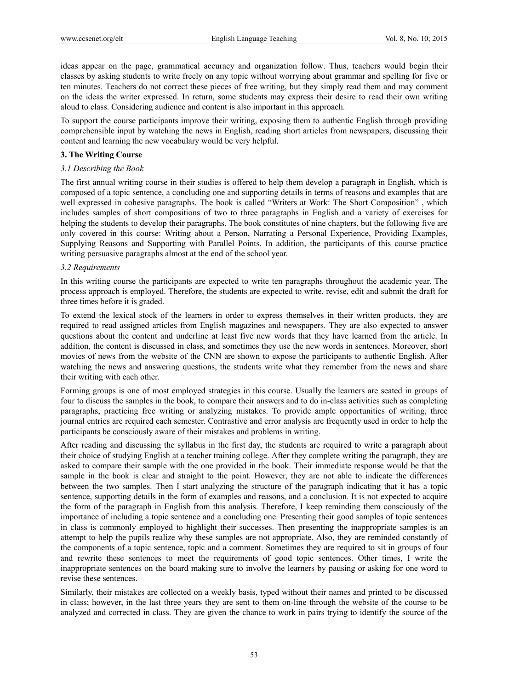ideas appear on the page, grammatical accuracy and organization follow. Thus, teachers would begin their classes by asking students to write freely on any topic without worrying about grammar and spelling for five or ten minutes. Teachers do not correct these pieces of free writing, but they simply read them and may comment on the ideas the writer expressed. In return, some students may express their desire to read their own writing aloud to class. Considering audience and content is also important in this approach.

To support the course participants improve their writing, exposing them to authentic English through providing comprehensible input by watching the news in English, reading short articles from newspapers, discussing their content and learning the new vocabulary would be very helpful.

#### **3. The Writing Course**

#### *3.1 Describing the Book*

The first annual writing course in their studies is offered to help them develop a paragraph in English, which is composed of a topic sentence, a concluding one and supporting details in terms of reasons and examples that are well expressed in cohesive paragraphs. The book is called "Writers at Work: The Short Composition" , which includes samples of short compositions of two to three paragraphs in English and a variety of exercises for helping the students to develop their paragraphs. The book constitutes of nine chapters, but the following five are only covered in this course: Writing about a Person, Narrating a Personal Experience, Providing Examples, Supplying Reasons and Supporting with Parallel Points. In addition, the participants of this course practice writing persuasive paragraphs almost at the end of the school year.

## *3.2 Requirements*

In this writing course the participants are expected to write ten paragraphs throughout the academic year. The process approach is employed. Therefore, the students are expected to write, revise, edit and submit the draft for three times before it is graded.

To extend the lexical stock of the learners in order to express themselves in their written products, they are required to read assigned articles from English magazines and newspapers. They are also expected to answer questions about the content and underline at least five new words that they have learned from the article. In addition, the content is discussed in class, and sometimes they use the new words in sentences. Moreover, short movies of news from the website of the CNN are shown to expose the participants to authentic English. After watching the news and answering questions, the students write what they remember from the news and share their writing with each other.

Forming groups is one of most employed strategies in this course. Usually the learners are seated in groups of four to discuss the samples in the book, to compare their answers and to do in-class activities such as completing paragraphs, practicing free writing or analyzing mistakes. To provide ample opportunities of writing, three journal entries are required each semester. Contrastive and error analysis are frequently used in order to help the participants be consciously aware of their mistakes and problems in writing.

After reading and discussing the syllabus in the first day, the students are required to write a paragraph about their choice of studying English at a teacher training college. After they complete writing the paragraph, they are asked to compare their sample with the one provided in the book. Their immediate response would be that the sample in the book is clear and straight to the point. However, they are not able to indicate the differences between the two samples. Then I start analyzing the structure of the paragraph indicating that it has a topic sentence, supporting details in the form of examples and reasons, and a conclusion. It is not expected to acquire the form of the paragraph in English from this analysis. Therefore, I keep reminding them consciously of the importance of including a topic sentence and a concluding one. Presenting their good samples of topic sentences in class is commonly employed to highlight their successes. Then presenting the inappropriate samples is an attempt to help the pupils realize why these samples are not appropriate. Also, they are reminded constantly of the components of a topic sentence, topic and a comment. Sometimes they are required to sit in groups of four and rewrite these sentences to meet the requirements of good topic sentences. Other times, I write the inappropriate sentences on the board making sure to involve the learners by pausing or asking for one word to revise these sentences.

Similarly, their mistakes are collected on a weekly basis, typed without their names and printed to be discussed in class; however, in the last three years they are sent to them on-line through the website of the course to be analyzed and corrected in class. They are given the chance to work in pairs trying to identify the source of the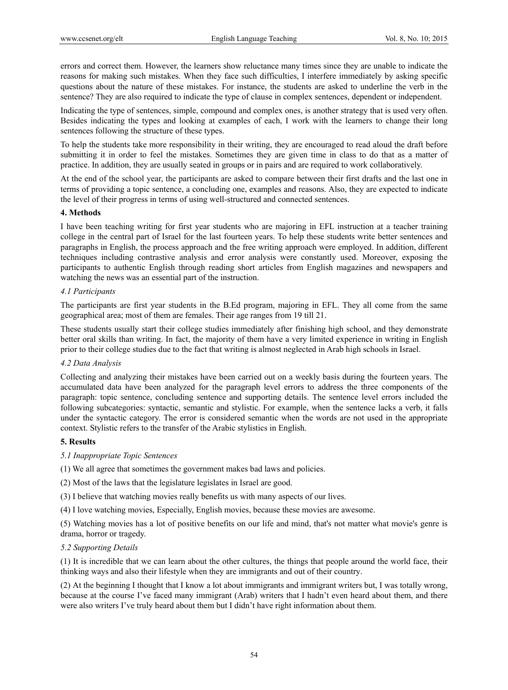errors and correct them. However, the learners show reluctance many times since they are unable to indicate the reasons for making such mistakes. When they face such difficulties, I interfere immediately by asking specific questions about the nature of these mistakes. For instance, the students are asked to underline the verb in the sentence? They are also required to indicate the type of clause in complex sentences, dependent or independent.

Indicating the type of sentences, simple, compound and complex ones, is another strategy that is used very often. Besides indicating the types and looking at examples of each, I work with the learners to change their long sentences following the structure of these types.

To help the students take more responsibility in their writing, they are encouraged to read aloud the draft before submitting it in order to feel the mistakes. Sometimes they are given time in class to do that as a matter of practice. In addition, they are usually seated in groups or in pairs and are required to work collaboratively.

At the end of the school year, the participants are asked to compare between their first drafts and the last one in terms of providing a topic sentence, a concluding one, examples and reasons. Also, they are expected to indicate the level of their progress in terms of using well-structured and connected sentences.

## **4. Methods**

I have been teaching writing for first year students who are majoring in EFL instruction at a teacher training college in the central part of Israel for the last fourteen years. To help these students write better sentences and paragraphs in English, the process approach and the free writing approach were employed. In addition, different techniques including contrastive analysis and error analysis were constantly used. Moreover, exposing the participants to authentic English through reading short articles from English magazines and newspapers and watching the news was an essential part of the instruction.

## *4.1 Participants*

The participants are first year students in the B.Ed program, majoring in EFL. They all come from the same geographical area; most of them are females. Their age ranges from 19 till 21.

These students usually start their college studies immediately after finishing high school, and they demonstrate better oral skills than writing. In fact, the majority of them have a very limited experience in writing in English prior to their college studies due to the fact that writing is almost neglected in Arab high schools in Israel.

## *4.2 Data Analysis*

Collecting and analyzing their mistakes have been carried out on a weekly basis during the fourteen years. The accumulated data have been analyzed for the paragraph level errors to address the three components of the paragraph: topic sentence, concluding sentence and supporting details. The sentence level errors included the following subcategories: syntactic, semantic and stylistic. For example, when the sentence lacks a verb, it falls under the syntactic category. The error is considered semantic when the words are not used in the appropriate context. Stylistic refers to the transfer of the Arabic stylistics in English.

#### **5. Results**

- *5.1 Inappropriate Topic Sentences*
- (1) We all agree that sometimes the government makes bad laws and policies.
- (2) Most of the laws that the legislature legislates in Israel are good.
- (3) I believe that watching movies really benefits us with many aspects of our lives.
- (4) I love watching movies, Especially, English movies, because these movies are awesome.

(5) Watching movies has a lot of positive benefits on our life and mind, that's not matter what movie's genre is drama, horror or tragedy.

## *5.2 Supporting Details*

(1) It is incredible that we can learn about the other cultures, the things that people around the world face, their thinking ways and also their lifestyle when they are immigrants and out of their country.

(2) At the beginning I thought that I know a lot about immigrants and immigrant writers but, I was totally wrong, because at the course I've faced many immigrant (Arab) writers that I hadn't even heard about them, and there were also writers I've truly heard about them but I didn't have right information about them.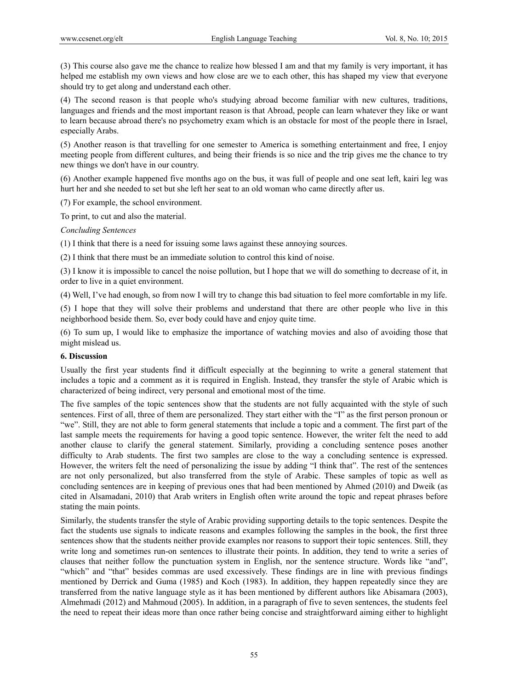(3) This course also gave me the chance to realize how blessed I am and that my family is very important, it has helped me establish my own views and how close are we to each other, this has shaped my view that everyone should try to get along and understand each other.

(4) The second reason is that people who's studying abroad become familiar with new cultures, traditions, languages and friends and the most important reason is that Abroad, people can learn whatever they like or want to learn because abroad there's no psychometry exam which is an obstacle for most of the people there in Israel, especially Arabs.

(5) Another reason is that travelling for one semester to America is something entertainment and free, I enjoy meeting people from different cultures, and being their friends is so nice and the trip gives me the chance to try new things we don't have in our country.

(6) Another example happened five months ago on the bus, it was full of people and one seat left, kairi leg was hurt her and she needed to set but she left her seat to an old woman who came directly after us.

(7) For example, the school environment.

To print, to cut and also the material.

*Concluding Sentences*

(1) I think that there is a need for issuing some laws against these annoying sources.

(2) I think that there must be an immediate solution to control this kind of noise.

(3) I know it is impossible to cancel the noise pollution, but I hope that we will do something to decrease of it, in order to live in a quiet environment.

(4) Well, I've had enough, so from now I will try to change this bad situation to feel more comfortable in my life.

(5) I hope that they will solve their problems and understand that there are other people who live in this neighborhood beside them. So, ever body could have and enjoy quite time.

(6) To sum up, I would like to emphasize the importance of watching movies and also of avoiding those that might mislead us.

#### **6. Discussion**

Usually the first year students find it difficult especially at the beginning to write a general statement that includes a topic and a comment as it is required in English. Instead, they transfer the style of Arabic which is characterized of being indirect, very personal and emotional most of the time.

The five samples of the topic sentences show that the students are not fully acquainted with the style of such sentences. First of all, three of them are personalized. They start either with the "I" as the first person pronoun or "we". Still, they are not able to form general statements that include a topic and a comment. The first part of the last sample meets the requirements for having a good topic sentence. However, the writer felt the need to add another clause to clarify the general statement. Similarly, providing a concluding sentence poses another difficulty to Arab students. The first two samples are close to the way a concluding sentence is expressed. However, the writers felt the need of personalizing the issue by adding "I think that". The rest of the sentences are not only personalized, but also transferred from the style of Arabic. These samples of topic as well as concluding sentences are in keeping of previous ones that had been mentioned by Ahmed (2010) and Dweik (as cited in Alsamadani, 2010) that Arab writers in English often write around the topic and repeat phrases before stating the main points.

Similarly, the students transfer the style of Arabic providing supporting details to the topic sentences. Despite the fact the students use signals to indicate reasons and examples following the samples in the book, the first three sentences show that the students neither provide examples nor reasons to support their topic sentences. Still, they write long and sometimes run-on sentences to illustrate their points. In addition, they tend to write a series of clauses that neither follow the punctuation system in English, nor the sentence structure. Words like "and", "which" and "that" besides commas are used excessively. These findings are in line with previous findings mentioned by Derrick and Guma (1985) and Koch (1983). In addition, they happen repeatedly since they are transferred from the native language style as it has been mentioned by different authors like Abisamara (2003), Almehmadi (2012) and Mahmoud (2005). In addition, in a paragraph of five to seven sentences, the students feel the need to repeat their ideas more than once rather being concise and straightforward aiming either to highlight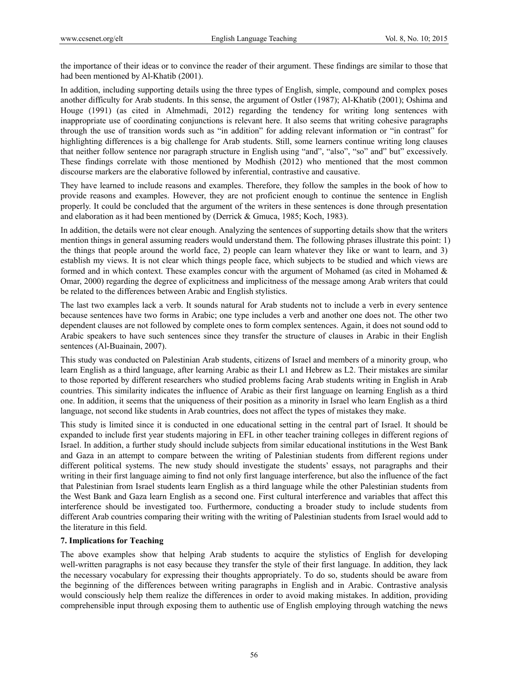the importance of their ideas or to convince the reader of their argument. These findings are similar to those that had been mentioned by Al-Khatib (2001).

In addition, including supporting details using the three types of English, simple, compound and complex poses another difficulty for Arab students. In this sense, the argument of Ostler (1987); Al-Khatib (2001); Oshima and Houge (1991) (as cited in Almehmadi, 2012) regarding the tendency for writing long sentences with inappropriate use of coordinating conjunctions is relevant here. It also seems that writing cohesive paragraphs through the use of transition words such as "in addition" for adding relevant information or "in contrast" for highlighting differences is a big challenge for Arab students. Still, some learners continue writing long clauses that neither follow sentence nor paragraph structure in English using "and", "also", "so" and" but" excessively. These findings correlate with those mentioned by Modhish (2012) who mentioned that the most common discourse markers are the elaborative followed by inferential, contrastive and causative.

They have learned to include reasons and examples. Therefore, they follow the samples in the book of how to provide reasons and examples. However, they are not proficient enough to continue the sentence in English properly. It could be concluded that the argument of the writers in these sentences is done through presentation and elaboration as it had been mentioned by (Derrick & Gmuca, 1985; Koch, 1983).

In addition, the details were not clear enough. Analyzing the sentences of supporting details show that the writers mention things in general assuming readers would understand them. The following phrases illustrate this point: 1) the things that people around the world face, 2) people can learn whatever they like or want to learn, and 3) establish my views. It is not clear which things people face, which subjects to be studied and which views are formed and in which context. These examples concur with the argument of Mohamed (as cited in Mohamed & Omar, 2000) regarding the degree of explicitness and implicitness of the message among Arab writers that could be related to the differences between Arabic and English stylistics.

The last two examples lack a verb. It sounds natural for Arab students not to include a verb in every sentence because sentences have two forms in Arabic; one type includes a verb and another one does not. The other two dependent clauses are not followed by complete ones to form complex sentences. Again, it does not sound odd to Arabic speakers to have such sentences since they transfer the structure of clauses in Arabic in their English sentences (Al-Buainain, 2007).

This study was conducted on Palestinian Arab students, citizens of Israel and members of a minority group, who learn English as a third language, after learning Arabic as their L1 and Hebrew as L2. Their mistakes are similar to those reported by different researchers who studied problems facing Arab students writing in English in Arab countries. This similarity indicates the influence of Arabic as their first language on learning English as a third one. In addition, it seems that the uniqueness of their position as a minority in Israel who learn English as a third language, not second like students in Arab countries, does not affect the types of mistakes they make.

This study is limited since it is conducted in one educational setting in the central part of Israel. It should be expanded to include first year students majoring in EFL in other teacher training colleges in different regions of Israel. In addition, a further study should include subjects from similar educational institutions in the West Bank and Gaza in an attempt to compare between the writing of Palestinian students from different regions under different political systems. The new study should investigate the students' essays, not paragraphs and their writing in their first language aiming to find not only first language interference, but also the influence of the fact that Palestinian from Israel students learn English as a third language while the other Palestinian students from the West Bank and Gaza learn English as a second one. First cultural interference and variables that affect this interference should be investigated too. Furthermore, conducting a broader study to include students from different Arab countries comparing their writing with the writing of Palestinian students from Israel would add to the literature in this field.

## **7. Implications for Teaching**

The above examples show that helping Arab students to acquire the stylistics of English for developing well-written paragraphs is not easy because they transfer the style of their first language. In addition, they lack the necessary vocabulary for expressing their thoughts appropriately. To do so, students should be aware from the beginning of the differences between writing paragraphs in English and in Arabic. Contrastive analysis would consciously help them realize the differences in order to avoid making mistakes. In addition, providing comprehensible input through exposing them to authentic use of English employing through watching the news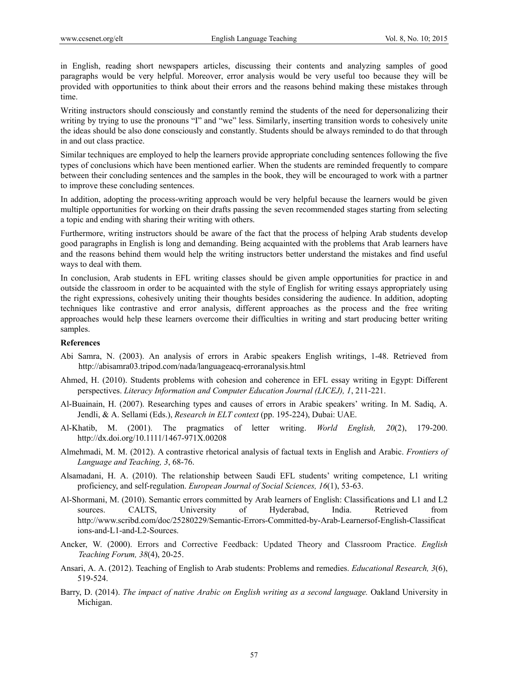in English, reading short newspapers articles, discussing their contents and analyzing samples of good paragraphs would be very helpful. Moreover, error analysis would be very useful too because they will be provided with opportunities to think about their errors and the reasons behind making these mistakes through time.

Writing instructors should consciously and constantly remind the students of the need for depersonalizing their writing by trying to use the pronouns "I" and "we" less. Similarly, inserting transition words to cohesively unite the ideas should be also done consciously and constantly. Students should be always reminded to do that through in and out class practice.

Similar techniques are employed to help the learners provide appropriate concluding sentences following the five types of conclusions which have been mentioned earlier. When the students are reminded frequently to compare between their concluding sentences and the samples in the book, they will be encouraged to work with a partner to improve these concluding sentences.

In addition, adopting the process-writing approach would be very helpful because the learners would be given multiple opportunities for working on their drafts passing the seven recommended stages starting from selecting a topic and ending with sharing their writing with others.

Furthermore, writing instructors should be aware of the fact that the process of helping Arab students develop good paragraphs in English is long and demanding. Being acquainted with the problems that Arab learners have and the reasons behind them would help the writing instructors better understand the mistakes and find useful ways to deal with them.

In conclusion, Arab students in EFL writing classes should be given ample opportunities for practice in and outside the classroom in order to be acquainted with the style of English for writing essays appropriately using the right expressions, cohesively uniting their thoughts besides considering the audience. In addition, adopting techniques like contrastive and error analysis, different approaches as the process and the free writing approaches would help these learners overcome their difficulties in writing and start producing better writing samples.

## **References**

- Abi Samra, N. (2003). An analysis of errors in Arabic speakers English writings, 1-48. Retrieved from http://abisamra03.tripod.com/nada/languageacq-erroranalysis.html
- Ahmed, H. (2010). Students problems with cohesion and coherence in EFL essay writing in Egypt: Different perspectives. *Literacy Information and Computer Education Journal (LICEJ), 1*, 211-221.
- Al-Buainain, H. (2007). Researching types and causes of errors in Arabic speakers' writing. In M. Sadiq, A. Jendli, & A. Sellami (Eds.), *Research in ELT context* (pp. 195-224), Dubai: UAE.
- Al-Khatib, M. (2001). The pragmatics of letter writing. *World English, 20*(2), 179-200. http://dx.doi.org/10.1111/1467-971X.00208
- Almehmadi, M. M. (2012). A contrastive rhetorical analysis of factual texts in English and Arabic. *Frontiers of Language and Teaching, 3*, 68-76.
- Alsamadani, H. A. (2010). The relationship between Saudi EFL students' writing competence, L1 writing proficiency, and self-regulation. *European Journal of Social Sciences, 16*(1), 53-63.
- Al-Shormani, M. (2010). Semantic errors committed by Arab learners of English: Classifications and L1 and L2 sources. CALTS, University of Hyderabad, India. Retrieved from http://www.scribd.com/doc/25280229/Semantic-Errors-Committed-by-Arab-Learnersof-English-Classificat ions-and-L1-and-L2-Sources.
- Ancker, W. (2000). Errors and Corrective Feedback: Updated Theory and Classroom Practice. *English Teaching Forum, 38*(4), 20-25.
- Ansari, A. A. (2012). Teaching of English to Arab students: Problems and remedies. *Educational Research, 3*(6), 519-524.
- Barry, D. (2014). *The impact of native Arabic on English writing as a second language.* Oakland University in Michigan.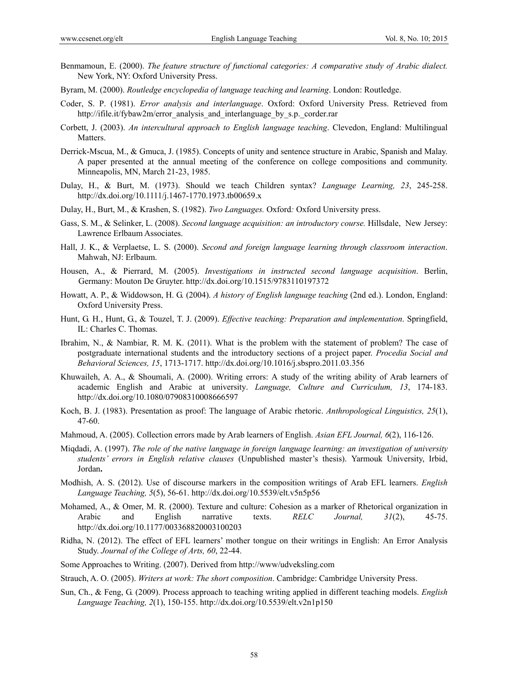- Benmamoun, E. (2000). *The feature structure of functional categories: A comparative study of Arabic dialect.*  New York, NY: Oxford University Press.
- Byram, M. (2000). *Routledge encyclopedia of language teaching and learning*. London: Routledge.
- Coder, S. P. (1981). *Error analysis and interlanguage*. Oxford: Oxford University Press. Retrieved from http://ifile.it/fybaw2m/error\_analysis\_and\_interlanguage\_by\_s.p.\_corder.rar
- Corbett, J. (2003). *An intercultural approach to English language teaching*. Clevedon, England: Multilingual Matters.
- Derrick-Mscua, M., & Gmuca, J. (1985). Concepts of unity and sentence structure in Arabic, Spanish and Malay. A paper presented at the annual meeting of the conference on college compositions and community. Minneapolis, MN, March 21-23, 1985.
- Dulay, H., & Burt, M. (1973). Should we teach Children syntax? *Language Learning, 23*, 245-258. http://dx.doi.org/10.1111/j.1467-1770.1973.tb00659.x
- Dulay, H., Burt, M., & Krashen, S. (1982). *Two Languages.* Oxford*:* Oxford University press.
- Gass, S. M., & Selinker, L. (2008). *Second language acquisition: an introductory course.* Hillsdale, New Jersey: Lawrence Erlbaum Associates.
- Hall, J. K., & Verplaetse, L. S. (2000). *Second and foreign language learning through classroom interaction*. Mahwah, NJ: Erlbaum.
- Housen, A., & Pierrard, M. (2005). *Investigations in instructed second language acquisition*. Berlin, Germany: Mouton De Gruyter. http://dx.doi.org/10.1515/9783110197372
- Howatt, A. P., & Widdowson, H. G. (2004). *A history of English language teaching* (2nd ed.). London, England: Oxford University Press.
- Hunt, G. H., Hunt, G., & Touzel, T. J. (2009). *Effective teaching: Preparation and implementation*. Springfield, IL: Charles C. Thomas.
- Ibrahim, N., & Nambiar, R. M. K. (2011). What is the problem with the statement of problem? The case of postgraduate international students and the introductory sections of a project paper. *Procedia Social and Behavioral Sciences, 15*, 1713-1717. http://dx.doi.org/10.1016/j.sbspro.2011.03.356
- Khuwaileh, A. A., & Shoumali, A. (2000). Writing errors: A study of the writing ability of Arab learners of academic English and Arabic at university. *Language, Culture and Curriculum, 13*, 174-183. http://dx.doi.org/10.1080/07908310008666597
- Koch, B. J. (1983). Presentation as proof: The language of Arabic rhetoric. *Anthropological Linguistics, 25*(1), 47-60.
- Mahmoud, A. (2005). Collection errors made by Arab learners of English. *Asian EFL Journal, 6*(2), 116-126.
- Miqdadi, A. (1997). *The role of the native language in foreign language learning: an investigation of university students' errors in English relative clauses* (Unpublished master's thesis). Yarmouk University, Irbid, Jordan**.**
- Modhish, A. S. (2012). Use of discourse markers in the composition writings of Arab EFL learners. *English Language Teaching, 5*(5), 56-61. http://dx.doi.org/10.5539/elt.v5n5p56
- Mohamed, A., & Omer, M. R. (2000). Texture and culture: Cohesion as a marker of Rhetorical organization in Arabic and English narrative texts. *RELC Journal, 31*(2), 45-75. http://dx.doi.org/10.1177/003368820003100203
- Ridha, N. (2012). The effect of EFL learners' mother tongue on their writings in English: An Error Analysis Study. *Journal of the College of Arts, 60*, 22-44.
- Some Approaches to Writing. (2007). Derived from http://www/udveksling.com
- Strauch, A. O. (2005). *Writers at work: The short composition*. Cambridge: Cambridge University Press.
- Sun, Ch., & Feng, G. (2009). Process approach to teaching writing applied in different teaching models. *English Language Teaching, 2*(1), 150-155. http://dx.doi.org/10.5539/elt.v2n1p150